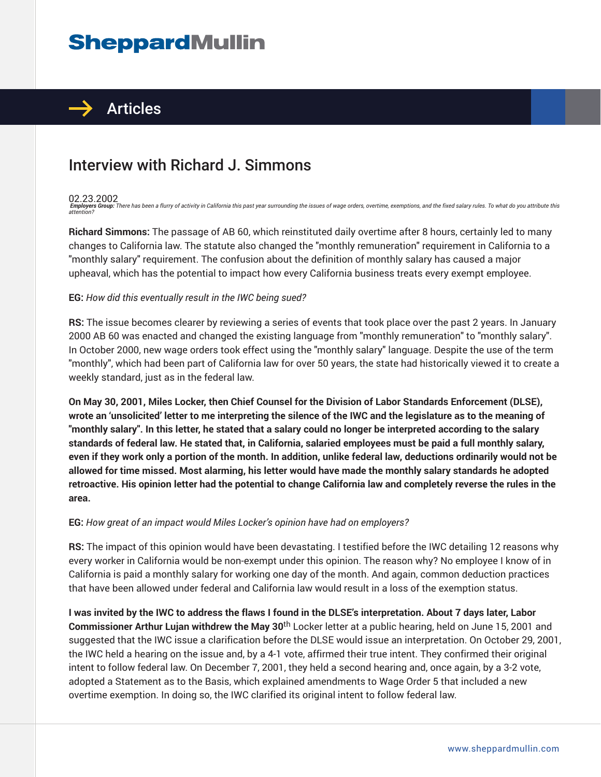# **SheppardMullin**



## Interview with Richard J. Simmons

#### 02.23.2002

**Employers Group:** There has been a flurry of activity in California this past year surrounding the issues of wage orders, overtime, exemptions, and the fixed salary rules. To what do you attribute this<br>attention?

**Richard Simmons:** The passage of AB 60, which reinstituted daily overtime after 8 hours, certainly led to many changes to California law. The statute also changed the "monthly remuneration" requirement in California to a "monthly salary" requirement. The confusion about the definition of monthly salary has caused a major upheaval, which has the potential to impact how every California business treats every exempt employee.

#### **EG:** *How did this eventually result in the IWC being sued?*

**RS:** The issue becomes clearer by reviewing a series of events that took place over the past 2 years. In January 2000 AB 60 was enacted and changed the existing language from "monthly remuneration" to "monthly salary". In October 2000, new wage orders took effect using the "monthly salary" language. Despite the use of the term "monthly", which had been part of California law for over 50 years, the state had historically viewed it to create a weekly standard, just as in the federal law.

**On May 30, 2001, Miles Locker, then Chief Counsel for the Division of Labor Standards Enforcement (DLSE), wrote an 'unsolicited' letter to me interpreting the silence of the IWC and the legislature as to the meaning of "monthly salary". In this letter, he stated that a salary could no longer be interpreted according to the salary standards of federal law. He stated that, in California, salaried employees must be paid a full monthly salary, even if they work only a portion of the month. In addition, unlike federal law, deductions ordinarily would not be allowed for time missed. Most alarming, his letter would have made the monthly salary standards he adopted retroactive. His opinion letter had the potential to change California law and completely reverse the rules in the area.**

#### **EG:** *How great of an impact would Miles Locker's opinion have had on employers?*

**RS:** The impact of this opinion would have been devastating. I testified before the IWC detailing 12 reasons why every worker in California would be non-exempt under this opinion. The reason why? No employee I know of in California is paid a monthly salary for working one day of the month. And again, common deduction practices that have been allowed under federal and California law would result in a loss of the exemption status.

**I was invited by the IWC to address the flaws I found in the DLSE's interpretation. About 7 days later, Labor Commissioner Arthur Lujan withdrew the May 30**th Locker letter at a public hearing, held on June 15, 2001 and suggested that the IWC issue a clarification before the DLSE would issue an interpretation. On October 29, 2001, the IWC held a hearing on the issue and, by a 4-1 vote, affirmed their true intent. They confirmed their original intent to follow federal law. On December 7, 2001, they held a second hearing and, once again, by a 3-2 vote, adopted a Statement as to the Basis, which explained amendments to Wage Order 5 that included a new overtime exemption. In doing so, the IWC clarified its original intent to follow federal law.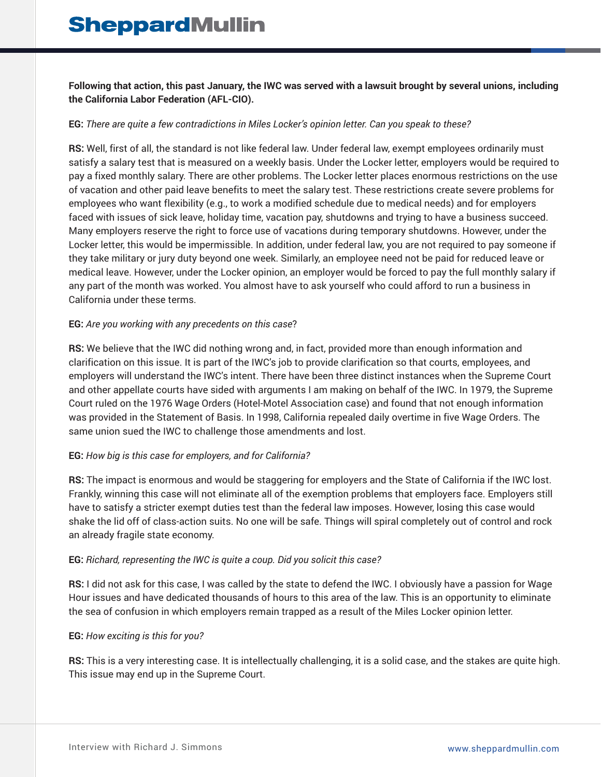**Following that action, this past January, the IWC was served with a lawsuit brought by several unions, including the California Labor Federation (AFL-CIO).** 

#### **EG:** *There are quite a few contradictions in Miles Locker's opinion letter. Can you speak to these?*

**RS:** Well, first of all, the standard is not like federal law. Under federal law, exempt employees ordinarily must satisfy a salary test that is measured on a weekly basis. Under the Locker letter, employers would be required to pay a fixed monthly salary. There are other problems. The Locker letter places enormous restrictions on the use of vacation and other paid leave benefits to meet the salary test. These restrictions create severe problems for employees who want flexibility (e.g., to work a modified schedule due to medical needs) and for employers faced with issues of sick leave, holiday time, vacation pay, shutdowns and trying to have a business succeed. Many employers reserve the right to force use of vacations during temporary shutdowns. However, under the Locker letter, this would be impermissible. In addition, under federal law, you are not required to pay someone if they take military or jury duty beyond one week. Similarly, an employee need not be paid for reduced leave or medical leave. However, under the Locker opinion, an employer would be forced to pay the full monthly salary if any part of the month was worked. You almost have to ask yourself who could afford to run a business in California under these terms.

#### **EG:** *Are you working with any precedents on this case*?

**RS:** We believe that the IWC did nothing wrong and, in fact, provided more than enough information and clarification on this issue. It is part of the IWC's job to provide clarification so that courts, employees, and employers will understand the IWC's intent. There have been three distinct instances when the Supreme Court and other appellate courts have sided with arguments I am making on behalf of the IWC. In 1979, the Supreme Court ruled on the 1976 Wage Orders (Hotel-Motel Association case) and found that not enough information was provided in the Statement of Basis. In 1998, California repealed daily overtime in five Wage Orders. The same union sued the IWC to challenge those amendments and lost.

#### **EG:** *How big is this case for employers, and for California?*

**RS:** The impact is enormous and would be staggering for employers and the State of California if the IWC lost. Frankly, winning this case will not eliminate all of the exemption problems that employers face. Employers still have to satisfy a stricter exempt duties test than the federal law imposes. However, losing this case would shake the lid off of class-action suits. No one will be safe. Things will spiral completely out of control and rock an already fragile state economy.

#### **EG:** *Richard, representing the IWC is quite a coup. Did you solicit this case?*

**RS:** I did not ask for this case, I was called by the state to defend the IWC. I obviously have a passion for Wage Hour issues and have dedicated thousands of hours to this area of the law. This is an opportunity to eliminate the sea of confusion in which employers remain trapped as a result of the Miles Locker opinion letter.

#### **EG:** *How exciting is this for you?*

**RS:** This is a very interesting case. It is intellectually challenging, it is a solid case, and the stakes are quite high. This issue may end up in the Supreme Court.